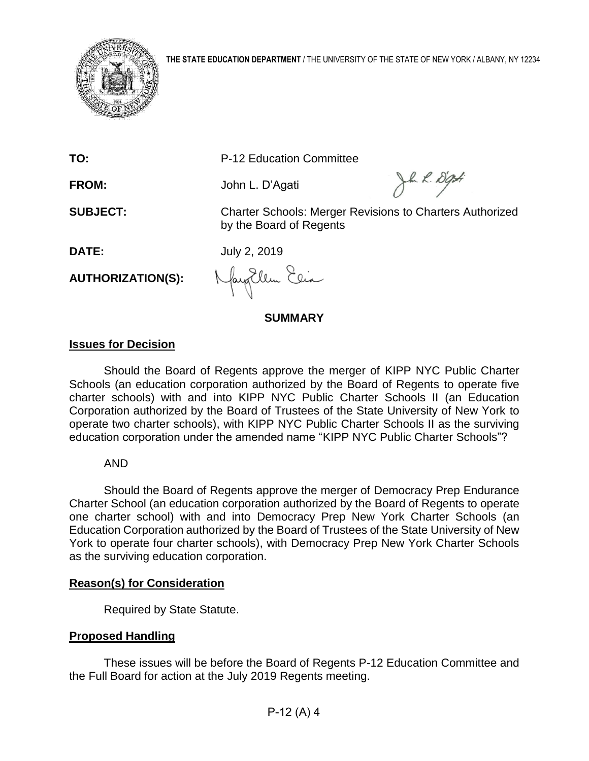

**TO:** P-12 Education Committee

**FROM:** John L. D'Agati

Jh 2. Dati

**SUBJECT:** Charter Schools: Merger Revisions to Charters Authorized by the Board of Regents

**DATE:** July 2, 2019

**AUTHORIZATION(S):**

Nayollem Elia

**SUMMARY**

# **Issues for Decision**

Should the Board of Regents approve the merger of KIPP NYC Public Charter Schools (an education corporation authorized by the Board of Regents to operate five charter schools) with and into KIPP NYC Public Charter Schools II (an Education Corporation authorized by the Board of Trustees of the State University of New York to operate two charter schools), with KIPP NYC Public Charter Schools II as the surviving education corporation under the amended name "KIPP NYC Public Charter Schools"?

# AND

Should the Board of Regents approve the merger of Democracy Prep Endurance Charter School (an education corporation authorized by the Board of Regents to operate one charter school) with and into Democracy Prep New York Charter Schools (an Education Corporation authorized by the Board of Trustees of the State University of New York to operate four charter schools), with Democracy Prep New York Charter Schools as the surviving education corporation.

# **Reason(s) for Consideration**

Required by State Statute.

# **Proposed Handling**

These issues will be before the Board of Regents P-12 Education Committee and the Full Board for action at the July 2019 Regents meeting.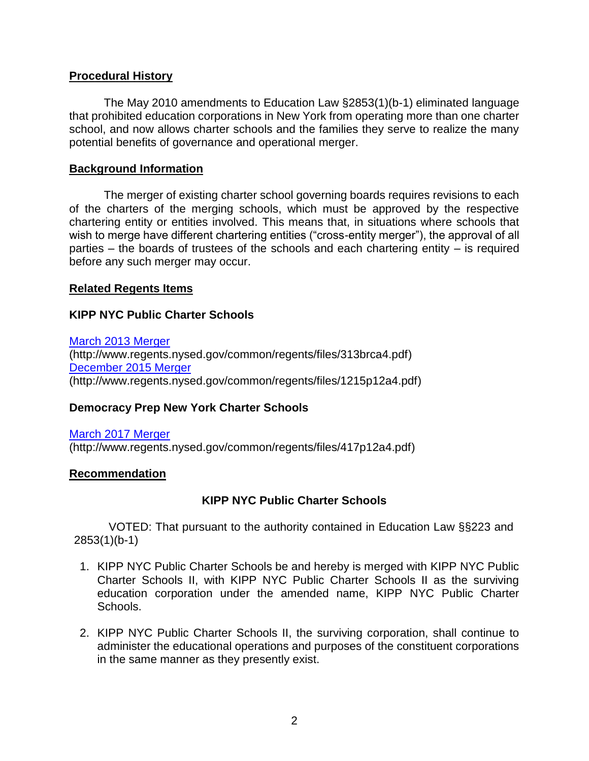### **Procedural History**

The May 2010 amendments to Education Law §2853(1)(b-1) eliminated language that prohibited education corporations in New York from operating more than one charter school, and now allows charter schools and the families they serve to realize the many potential benefits of governance and operational merger.

#### **Background Information**

The merger of existing charter school governing boards requires revisions to each of the charters of the merging schools, which must be approved by the respective chartering entity or entities involved. This means that, in situations where schools that wish to merge have different chartering entities ("cross-entity merger"), the approval of all parties  $-$  the boards of trustees of the schools and each chartering entity  $-$  is required before any such merger may occur.

#### **Related Regents Items**

#### **KIPP NYC Public Charter Schools**

[March 2013 Merger](http://www.regents.nysed.gov/common/regents/files/313brca4.pdf)  (http://www.regents.nysed.gov/common/regents/files/313brca4.pdf) [December 2015 Merger](http://www.regents.nysed.gov/common/regents/files/1215p12a4.pdf)  (http://www.regents.nysed.gov/common/regents/files/1215p12a4.pdf)

### **Democracy Prep New York Charter Schools**

[March 2017 Merger](http://www.regents.nysed.gov/common/regents/files/417p12a4.pdf) (http://www.regents.nysed.gov/common/regents/files/417p12a4.pdf)

#### **Recommendation**

### **KIPP NYC Public Charter Schools**

VOTED: That pursuant to the authority contained in Education Law §§223 and 2853(1)(b-1)

- 1. KIPP NYC Public Charter Schools be and hereby is merged with KIPP NYC Public Charter Schools II, with KIPP NYC Public Charter Schools II as the surviving education corporation under the amended name, KIPP NYC Public Charter Schools.
- 2. KIPP NYC Public Charter Schools II, the surviving corporation, shall continue to administer the educational operations and purposes of the constituent corporations in the same manner as they presently exist.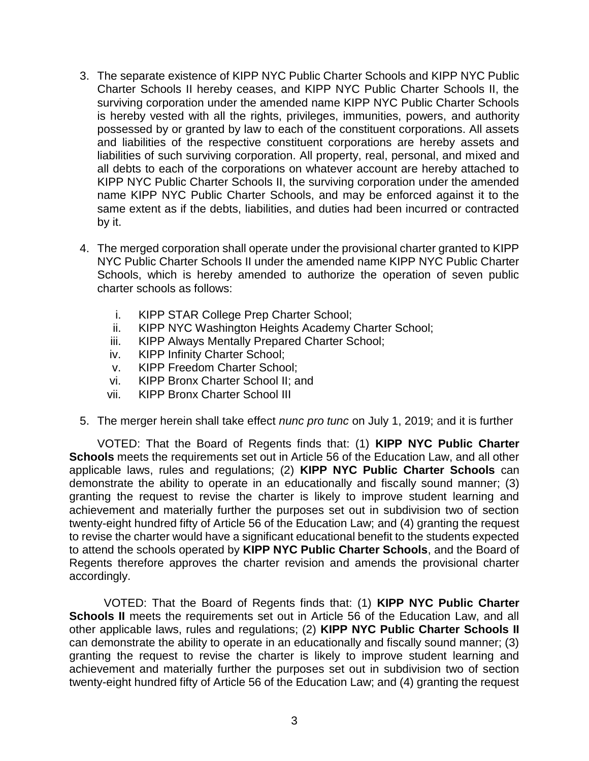- 3. The separate existence of KIPP NYC Public Charter Schools and KIPP NYC Public Charter Schools II hereby ceases, and KIPP NYC Public Charter Schools II, the surviving corporation under the amended name KIPP NYC Public Charter Schools is hereby vested with all the rights, privileges, immunities, powers, and authority possessed by or granted by law to each of the constituent corporations. All assets and liabilities of the respective constituent corporations are hereby assets and liabilities of such surviving corporation. All property, real, personal, and mixed and all debts to each of the corporations on whatever account are hereby attached to KIPP NYC Public Charter Schools II, the surviving corporation under the amended name KIPP NYC Public Charter Schools, and may be enforced against it to the same extent as if the debts, liabilities, and duties had been incurred or contracted by it.
- 4. The merged corporation shall operate under the provisional charter granted to KIPP NYC Public Charter Schools II under the amended name KIPP NYC Public Charter Schools, which is hereby amended to authorize the operation of seven public charter schools as follows:
	- i. KIPP STAR College Prep Charter School;
	- ii. KIPP NYC Washington Heights Academy Charter School;
	- iii. KIPP Always Mentally Prepared Charter School;
	- iv. KIPP Infinity Charter School;
	- v. KIPP Freedom Charter School;
	- vi. KIPP Bronx Charter School II; and
	- vii. KIPP Bronx Charter School III
- 5. The merger herein shall take effect *nunc pro tunc* on July 1, 2019; and it is further

VOTED: That the Board of Regents finds that: (1) **KIPP NYC Public Charter Schools** meets the requirements set out in Article 56 of the Education Law, and all other applicable laws, rules and regulations; (2) **KIPP NYC Public Charter Schools** can demonstrate the ability to operate in an educationally and fiscally sound manner; (3) granting the request to revise the charter is likely to improve student learning and achievement and materially further the purposes set out in subdivision two of section twenty-eight hundred fifty of Article 56 of the Education Law; and (4) granting the request to revise the charter would have a significant educational benefit to the students expected to attend the schools operated by **KIPP NYC Public Charter Schools**, and the Board of Regents therefore approves the charter revision and amends the provisional charter accordingly.

VOTED: That the Board of Regents finds that: (1) **KIPP NYC Public Charter Schools II** meets the requirements set out in Article 56 of the Education Law, and all other applicable laws, rules and regulations; (2) **KIPP NYC Public Charter Schools II**  can demonstrate the ability to operate in an educationally and fiscally sound manner; (3) granting the request to revise the charter is likely to improve student learning and achievement and materially further the purposes set out in subdivision two of section twenty-eight hundred fifty of Article 56 of the Education Law; and (4) granting the request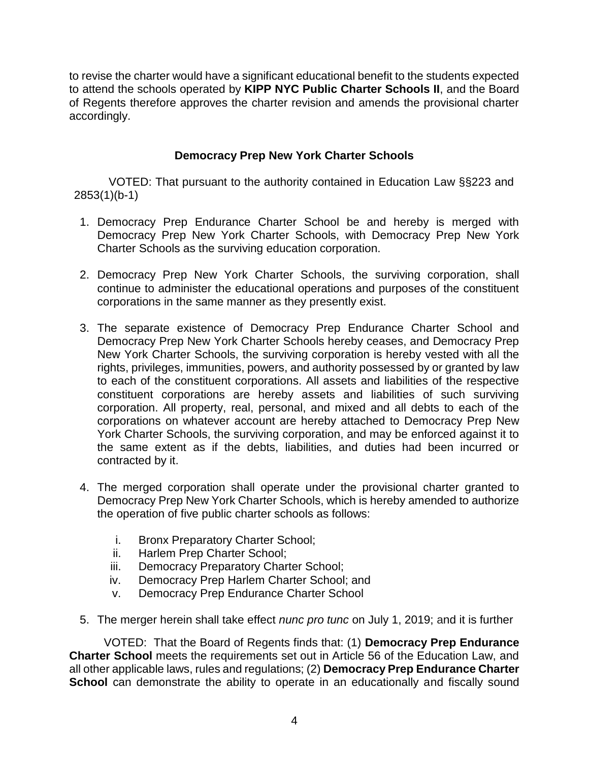to revise the charter would have a significant educational benefit to the students expected to attend the schools operated by **KIPP NYC Public Charter Schools II**, and the Board of Regents therefore approves the charter revision and amends the provisional charter accordingly.

## **Democracy Prep New York Charter Schools**

VOTED: That pursuant to the authority contained in Education Law §§223 and 2853(1)(b-1)

- 1. Democracy Prep Endurance Charter School be and hereby is merged with Democracy Prep New York Charter Schools, with Democracy Prep New York Charter Schools as the surviving education corporation.
- 2. Democracy Prep New York Charter Schools, the surviving corporation, shall continue to administer the educational operations and purposes of the constituent corporations in the same manner as they presently exist.
- 3. The separate existence of Democracy Prep Endurance Charter School and Democracy Prep New York Charter Schools hereby ceases, and Democracy Prep New York Charter Schools, the surviving corporation is hereby vested with all the rights, privileges, immunities, powers, and authority possessed by or granted by law to each of the constituent corporations. All assets and liabilities of the respective constituent corporations are hereby assets and liabilities of such surviving corporation. All property, real, personal, and mixed and all debts to each of the corporations on whatever account are hereby attached to Democracy Prep New York Charter Schools, the surviving corporation, and may be enforced against it to the same extent as if the debts, liabilities, and duties had been incurred or contracted by it.
- 4. The merged corporation shall operate under the provisional charter granted to Democracy Prep New York Charter Schools, which is hereby amended to authorize the operation of five public charter schools as follows:
	- i. Bronx Preparatory Charter School;
	- ii. Harlem Prep Charter School;
	- iii. Democracy Preparatory Charter School;
	- iv. Democracy Prep Harlem Charter School; and
	- v. Democracy Prep Endurance Charter School
- 5. The merger herein shall take effect *nunc pro tunc* on July 1, 2019; and it is further

VOTED: That the Board of Regents finds that: (1) **Democracy Prep Endurance Charter School** meets the requirements set out in Article 56 of the Education Law, and all other applicable laws, rules and regulations; (2) **Democracy Prep Endurance Charter School** can demonstrate the ability to operate in an educationally and fiscally sound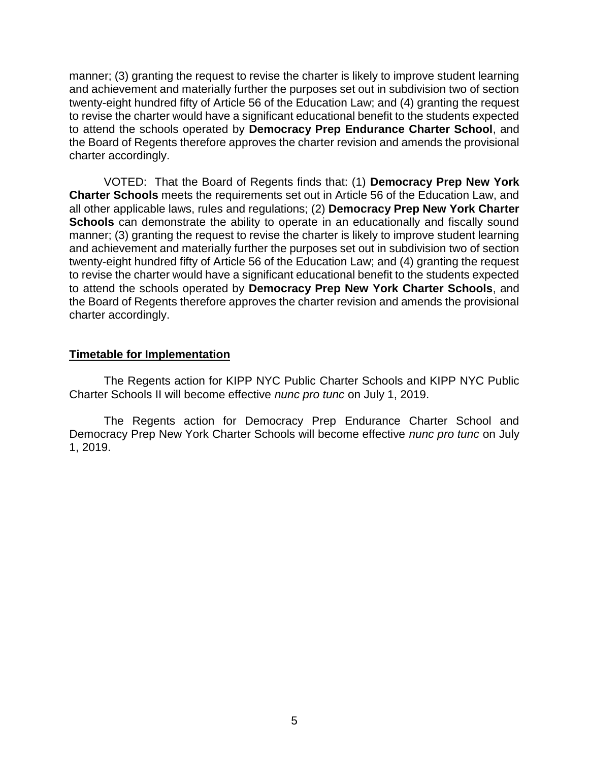manner; (3) granting the request to revise the charter is likely to improve student learning and achievement and materially further the purposes set out in subdivision two of section twenty-eight hundred fifty of Article 56 of the Education Law; and (4) granting the request to revise the charter would have a significant educational benefit to the students expected to attend the schools operated by **Democracy Prep Endurance Charter School**, and the Board of Regents therefore approves the charter revision and amends the provisional charter accordingly.

VOTED: That the Board of Regents finds that: (1) **Democracy Prep New York Charter Schools** meets the requirements set out in Article 56 of the Education Law, and all other applicable laws, rules and regulations; (2) **Democracy Prep New York Charter Schools** can demonstrate the ability to operate in an educationally and fiscally sound manner; (3) granting the request to revise the charter is likely to improve student learning and achievement and materially further the purposes set out in subdivision two of section twenty-eight hundred fifty of Article 56 of the Education Law; and (4) granting the request to revise the charter would have a significant educational benefit to the students expected to attend the schools operated by **Democracy Prep New York Charter Schools**, and the Board of Regents therefore approves the charter revision and amends the provisional charter accordingly.

#### **Timetable for Implementation**

The Regents action for KIPP NYC Public Charter Schools and KIPP NYC Public Charter Schools II will become effective *nunc pro tunc* on July 1, 2019.

The Regents action for Democracy Prep Endurance Charter School and Democracy Prep New York Charter Schools will become effective *nunc pro tunc* on July 1, 2019.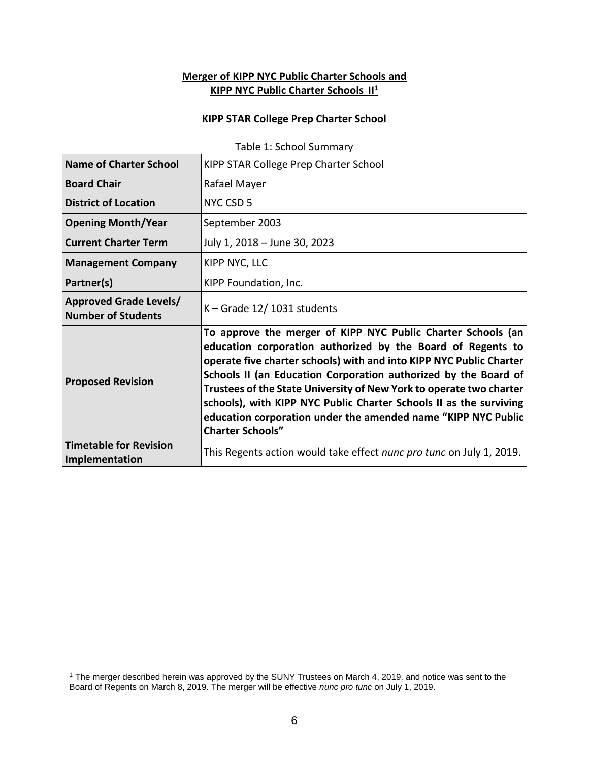## **Merger of KIPP NYC Public Charter Schools and KIPP NYC Public Charter Schools II<sup>1</sup>**

#### **KIPP STAR College Prep Charter School**

| <b>Name of Charter School</b>                              | KIPP STAR College Prep Charter School                                                                                                                                                                                                                                                                                                                                                                                                                                                                          |
|------------------------------------------------------------|----------------------------------------------------------------------------------------------------------------------------------------------------------------------------------------------------------------------------------------------------------------------------------------------------------------------------------------------------------------------------------------------------------------------------------------------------------------------------------------------------------------|
| <b>Board Chair</b>                                         | Rafael Mayer                                                                                                                                                                                                                                                                                                                                                                                                                                                                                                   |
| <b>District of Location</b>                                | NYC CSD 5                                                                                                                                                                                                                                                                                                                                                                                                                                                                                                      |
| <b>Opening Month/Year</b>                                  | September 2003                                                                                                                                                                                                                                                                                                                                                                                                                                                                                                 |
| <b>Current Charter Term</b>                                | July 1, 2018 - June 30, 2023                                                                                                                                                                                                                                                                                                                                                                                                                                                                                   |
| <b>Management Company</b>                                  | KIPP NYC, LLC                                                                                                                                                                                                                                                                                                                                                                                                                                                                                                  |
| Partner(s)                                                 | KIPP Foundation, Inc.                                                                                                                                                                                                                                                                                                                                                                                                                                                                                          |
| <b>Approved Grade Levels/</b><br><b>Number of Students</b> | $K -$ Grade 12/1031 students                                                                                                                                                                                                                                                                                                                                                                                                                                                                                   |
| <b>Proposed Revision</b>                                   | To approve the merger of KIPP NYC Public Charter Schools (an<br>education corporation authorized by the Board of Regents to<br>operate five charter schools) with and into KIPP NYC Public Charter<br>Schools II (an Education Corporation authorized by the Board of<br>Trustees of the State University of New York to operate two charter<br>schools), with KIPP NYC Public Charter Schools II as the surviving<br>education corporation under the amended name "KIPP NYC Public<br><b>Charter Schools"</b> |
| <b>Timetable for Revision</b><br>Implementation            | This Regents action would take effect nunc pro tunc on July 1, 2019.                                                                                                                                                                                                                                                                                                                                                                                                                                           |

Table 1: School Summary

 $\overline{a}$ 

<sup>1</sup> The merger described herein was approved by the SUNY Trustees on March 4, 2019, and notice was sent to the Board of Regents on March 8, 2019. The merger will be effective *nunc pro tunc* on July 1, 2019.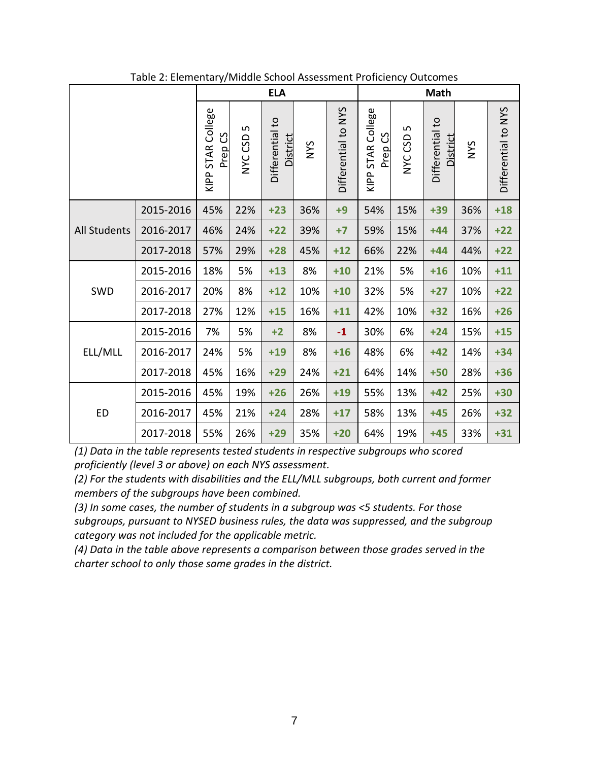|              |           |                                   |                        | <b>ELA</b>                         |            |                     |                                         |               | <b>Math</b>                 |            |                     |
|--------------|-----------|-----------------------------------|------------------------|------------------------------------|------------|---------------------|-----------------------------------------|---------------|-----------------------------|------------|---------------------|
|              |           | STAR College<br>უ<br>Prep<br>KIPP | S<br>CSD<br><b>NYC</b> | Differential to<br><b>District</b> | <b>NYS</b> | Differential to NYS | KIPP STAR College<br>Prep <sub>CS</sub> | LN<br>NYC CSD | Differential to<br>District | <b>NYS</b> | Differential to NYS |
|              | 2015-2016 | 45%                               | 22%                    | $+23$                              | 36%        | $+9$                | 54%                                     | 15%           | $+39$                       | 36%        | $+18$               |
| All Students | 2016-2017 | 46%                               | 24%                    | $+22$                              | 39%        | $+7$                | 59%                                     | 15%           | $+44$                       | 37%        | $+22$               |
|              | 2017-2018 | 57%                               | 29%                    | $+28$                              | 45%        | $+12$               | 66%                                     | 22%           | $+44$                       | 44%        | $+22$               |
|              | 2015-2016 | 18%                               | 5%                     | $+13$                              | 8%         | $+10$               | 21%                                     | 5%            | $+16$                       | 10%        | $+11$               |
| SWD          | 2016-2017 | 20%                               | 8%                     | $+12$                              | 10%        | $+10$               | 32%                                     | 5%            | $+27$                       | 10%        | $+22$               |
|              | 2017-2018 | 27%                               | 12%                    | $+15$                              | 16%        | $+11$               | 42%                                     | 10%           | $+32$                       | 16%        | $+26$               |
|              | 2015-2016 | 7%                                | 5%                     | $+2$                               | 8%         | $-1$                | 30%                                     | 6%            | $+24$                       | 15%        | $+15$               |
| ELL/MLL      | 2016-2017 | 24%                               | 5%                     | $+19$                              | 8%         | $+16$               | 48%                                     | 6%            | $+42$                       | 14%        | $+34$               |
|              | 2017-2018 | 45%                               | 16%                    | $+29$                              | 24%        | $+21$               | 64%                                     | 14%           | $+50$                       | 28%        | $+36$               |
|              | 2015-2016 | 45%                               | 19%                    | $+26$                              | 26%        | $+19$               | 55%                                     | 13%           | $+42$                       | 25%        | $+30$               |
| <b>ED</b>    | 2016-2017 | 45%                               | 21%                    | $+24$                              | 28%        | $+17$               | 58%                                     | 13%           | $+45$                       | 26%        | $+32$               |
|              | 2017-2018 | 55%                               | 26%                    | $+29$                              | 35%        | $+20$               | 64%                                     | 19%           | $+45$                       | 33%        | $+31$               |

Table 2: Elementary/Middle School Assessment Proficiency Outcomes

*(2) For the students with disabilities and the ELL/MLL subgroups, both current and former members of the subgroups have been combined.*

*(3) In some cases, the number of students in a subgroup was <5 students. For those subgroups, pursuant to NYSED business rules, the data was suppressed, and the subgroup category was not included for the applicable metric.*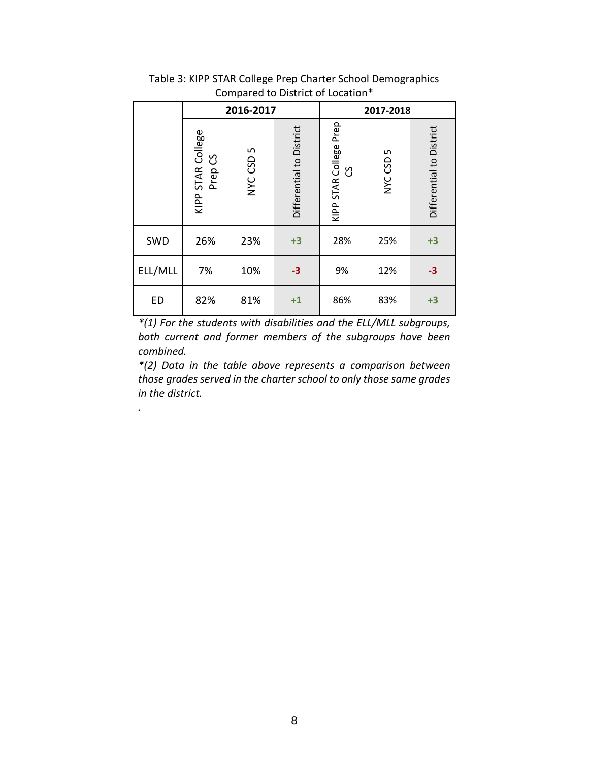|           |                              | 2016-2017 |                          |                                | 2017-2018    |                          |
|-----------|------------------------------|-----------|--------------------------|--------------------------------|--------------|--------------------------|
|           | KIPP STAR College<br>Prep CS | NYC CSD 5 | Differential to District | Prep<br>KIPP STAR College<br>უ | L<br>NYC CSD | Differential to District |
| SWD       | 26%                          | 23%       | $+3$                     | 28%                            | 25%          | $+3$                     |
| ELL/MLL   | 7%                           | 10%       | $-3$                     | 9%                             | 12%          | $-3$                     |
| <b>ED</b> | 82%                          | 81%       | $+1$                     | 86%                            | 83%          | $+3$                     |

Table 3: KIPP STAR College Prep Charter School Demographics Compared to District of Location\*

*\*(2) Data in the table above represents a comparison between those grades served in the charter school to only those same grades in the district.*

*.*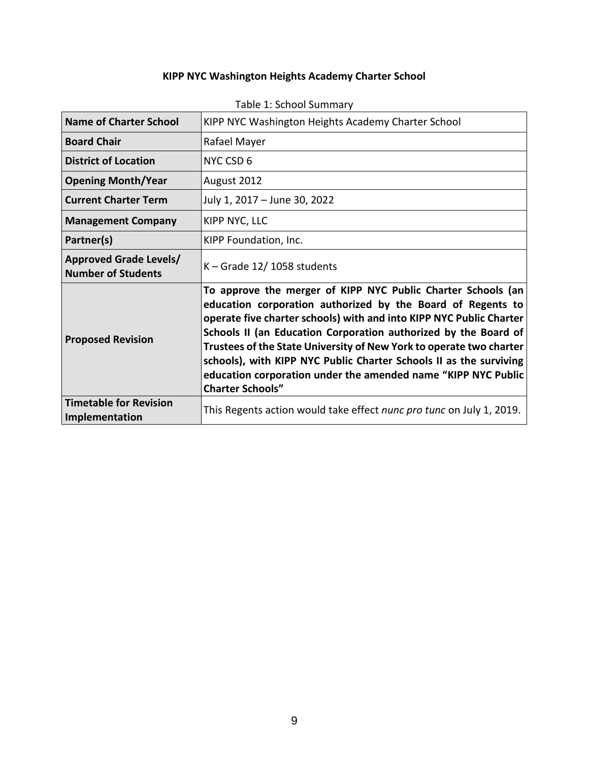# **KIPP NYC Washington Heights Academy Charter School**

| <b>Name of Charter School</b>                              | KIPP NYC Washington Heights Academy Charter School                                                                                                                                                                                                                                                                                                                                                                                                                                                             |
|------------------------------------------------------------|----------------------------------------------------------------------------------------------------------------------------------------------------------------------------------------------------------------------------------------------------------------------------------------------------------------------------------------------------------------------------------------------------------------------------------------------------------------------------------------------------------------|
| <b>Board Chair</b>                                         | Rafael Mayer                                                                                                                                                                                                                                                                                                                                                                                                                                                                                                   |
| <b>District of Location</b>                                | NYC CSD 6                                                                                                                                                                                                                                                                                                                                                                                                                                                                                                      |
| <b>Opening Month/Year</b>                                  | August 2012                                                                                                                                                                                                                                                                                                                                                                                                                                                                                                    |
| <b>Current Charter Term</b>                                | July 1, 2017 - June 30, 2022                                                                                                                                                                                                                                                                                                                                                                                                                                                                                   |
| <b>Management Company</b>                                  | KIPP NYC, LLC                                                                                                                                                                                                                                                                                                                                                                                                                                                                                                  |
| Partner(s)                                                 | KIPP Foundation, Inc.                                                                                                                                                                                                                                                                                                                                                                                                                                                                                          |
| <b>Approved Grade Levels/</b><br><b>Number of Students</b> | $K -$ Grade 12/1058 students                                                                                                                                                                                                                                                                                                                                                                                                                                                                                   |
| <b>Proposed Revision</b>                                   | To approve the merger of KIPP NYC Public Charter Schools (an<br>education corporation authorized by the Board of Regents to<br>operate five charter schools) with and into KIPP NYC Public Charter<br>Schools II (an Education Corporation authorized by the Board of<br>Trustees of the State University of New York to operate two charter<br>schools), with KIPP NYC Public Charter Schools II as the surviving<br>education corporation under the amended name "KIPP NYC Public<br><b>Charter Schools"</b> |
| <b>Timetable for Revision</b><br>Implementation            | This Regents action would take effect nunc pro tunc on July 1, 2019.                                                                                                                                                                                                                                                                                                                                                                                                                                           |

## Table 1: School Summary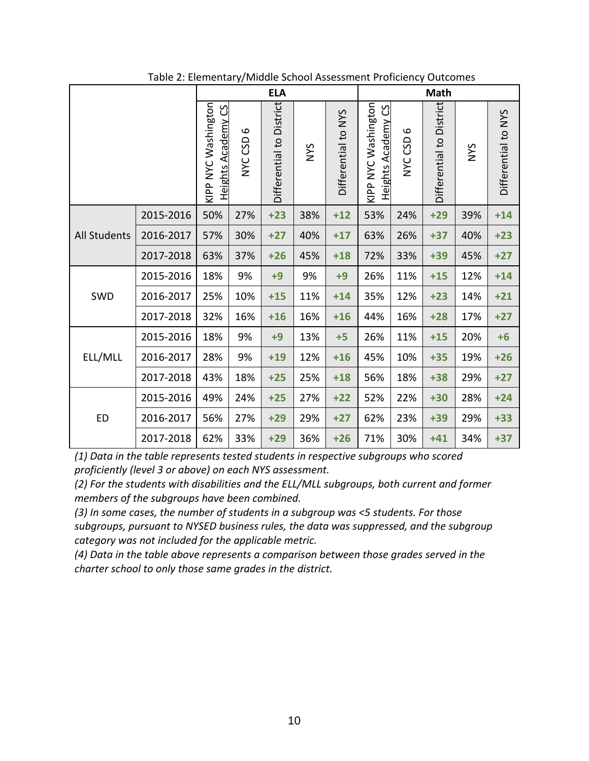|                     |           |                                                  |                                 | <b>ELA</b>               |             |                     |                                                  |              | <b>Math</b>              |            |                     |
|---------------------|-----------|--------------------------------------------------|---------------------------------|--------------------------|-------------|---------------------|--------------------------------------------------|--------------|--------------------------|------------|---------------------|
|                     |           | KIPP NYC Washington<br><b>Heights Academy CS</b> | $\mathbf{\Omega}$<br>GSD<br>NYC | Differential to District | <b>SAIN</b> | Differential to NYS | KIPP NYC Washington<br><b>Heights Academy CS</b> | 6<br>NYC CSD | Differential to District | <b>NYS</b> | Differential to NYS |
| <b>All Students</b> | 2015-2016 | 50%                                              | 27%                             | $+23$                    | 38%         | $+12$               | 53%                                              | 24%          | $+29$                    | 39%        | $+14$               |
|                     | 2016-2017 | 57%                                              | 30%                             | $+27$                    | 40%         | $+17$               | 63%                                              | 26%          | $+37$                    | 40%        | $+23$               |
|                     | 2017-2018 | 63%                                              | 37%                             | $+26$                    | 45%         | $+18$               | 72%                                              | 33%          | $+39$                    | 45%        | $+27$               |
|                     | 2015-2016 | 18%                                              | 9%                              | $+9$                     | 9%          | $+9$                | 26%                                              | 11%          | $+15$                    | 12%        | $+14$               |
| SWD                 | 2016-2017 | 25%                                              | 10%                             | $+15$                    | 11%         | $+14$               | 35%                                              | 12%          | $+23$                    | 14%        | $+21$               |
|                     | 2017-2018 | 32%                                              | 16%                             | $+16$                    | 16%         | $+16$               | 44%                                              | 16%          | $+28$                    | 17%        | $+27$               |
|                     | 2015-2016 | 18%                                              | 9%                              | $+9$                     | 13%         | $+5$                | 26%                                              | 11%          | $+15$                    | 20%        | $+6$                |
| ELL/MLL             | 2016-2017 | 28%                                              | 9%                              | $+19$                    | 12%         | $+16$               | 45%                                              | 10%          | $+35$                    | 19%        | $+26$               |
|                     | 2017-2018 | 43%                                              | 18%                             | $+25$                    | 25%         | $+18$               | 56%                                              | 18%          | $+38$                    | 29%        | $+27$               |
|                     | 2015-2016 | 49%                                              | 24%                             | $+25$                    | 27%         | $+22$               | 52%                                              | 22%          | $+30$                    | 28%        | $+24$               |
| <b>ED</b>           | 2016-2017 | 56%                                              | 27%                             | $+29$                    | 29%         | $+27$               | 62%                                              | 23%          | $+39$                    | 29%        | $+33$               |
|                     | 2017-2018 | 62%                                              | 33%                             | $+29$                    | 36%         | $+26$               | 71%                                              | 30%          | $+41$                    | 34%        | $+37$               |

Table 2: Elementary/Middle School Assessment Proficiency Outcomes

*(2) For the students with disabilities and the ELL/MLL subgroups, both current and former members of the subgroups have been combined.*

*(3) In some cases, the number of students in a subgroup was <5 students. For those subgroups, pursuant to NYSED business rules, the data was suppressed, and the subgroup category was not included for the applicable metric.*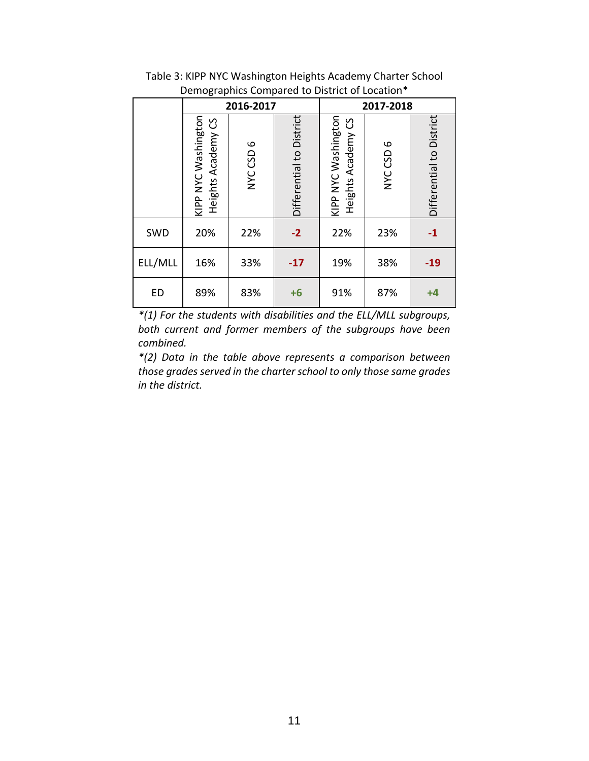|           | ັ                                         |              |                          |                                           |              |                          |  |  |  |  |  |
|-----------|-------------------------------------------|--------------|--------------------------|-------------------------------------------|--------------|--------------------------|--|--|--|--|--|
|           |                                           | 2016-2017    |                          | 2017-2018                                 |              |                          |  |  |  |  |  |
|           | KIPP NYC Washington<br>Heights Academy CS | 6<br>NYC CSD | Differential to District | KIPP NYC Washington<br>Heights Academy CS | 6<br>NYC CSD | Differential to District |  |  |  |  |  |
| SWD       | 20%                                       | 22%          | $-2$                     | 22%                                       | 23%          | $-1$                     |  |  |  |  |  |
| ELL/MLL   | 16%                                       | 33%          | $-17$                    | 19%                                       | 38%          | $-19$                    |  |  |  |  |  |
| <b>ED</b> | 89%                                       | 83%          | $+6$                     | 91%                                       | 87%          | $+4$                     |  |  |  |  |  |

Table 3: KIPP NYC Washington Heights Academy Charter School Demographics Compared to District of Location\*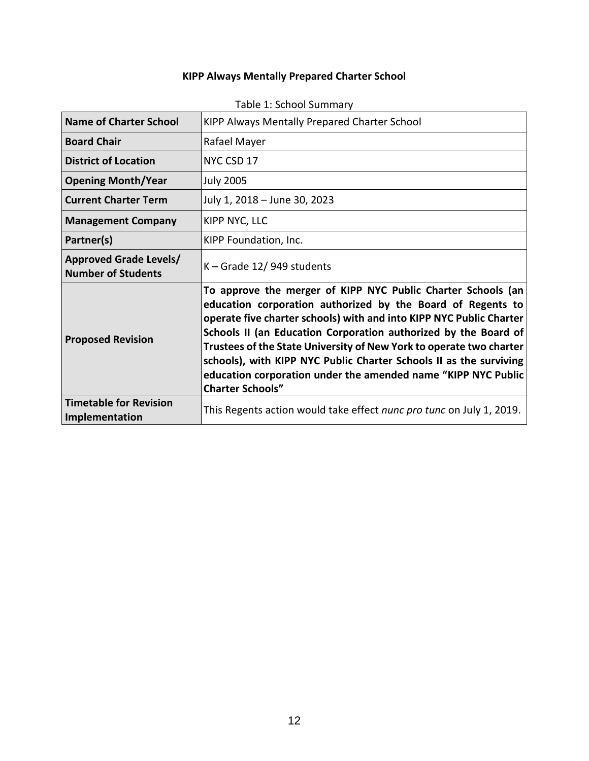# **KIPP Always Mentally Prepared Charter School**

| <b>Name of Charter School</b>                              | KIPP Always Mentally Prepared Charter School                                                                                                                                                                                                                                                                                                                                                                                                                                                                   |
|------------------------------------------------------------|----------------------------------------------------------------------------------------------------------------------------------------------------------------------------------------------------------------------------------------------------------------------------------------------------------------------------------------------------------------------------------------------------------------------------------------------------------------------------------------------------------------|
| <b>Board Chair</b>                                         | Rafael Mayer                                                                                                                                                                                                                                                                                                                                                                                                                                                                                                   |
| <b>District of Location</b>                                | NYC CSD 17                                                                                                                                                                                                                                                                                                                                                                                                                                                                                                     |
| <b>Opening Month/Year</b>                                  | <b>July 2005</b>                                                                                                                                                                                                                                                                                                                                                                                                                                                                                               |
| <b>Current Charter Term</b>                                | July 1, 2018 - June 30, 2023                                                                                                                                                                                                                                                                                                                                                                                                                                                                                   |
| <b>Management Company</b>                                  | KIPP NYC, LLC                                                                                                                                                                                                                                                                                                                                                                                                                                                                                                  |
| Partner(s)                                                 | KIPP Foundation, Inc.                                                                                                                                                                                                                                                                                                                                                                                                                                                                                          |
| <b>Approved Grade Levels/</b><br><b>Number of Students</b> | $K -$ Grade 12/949 students                                                                                                                                                                                                                                                                                                                                                                                                                                                                                    |
| <b>Proposed Revision</b>                                   | To approve the merger of KIPP NYC Public Charter Schools (an<br>education corporation authorized by the Board of Regents to<br>operate five charter schools) with and into KIPP NYC Public Charter<br>Schools II (an Education Corporation authorized by the Board of<br>Trustees of the State University of New York to operate two charter<br>schools), with KIPP NYC Public Charter Schools II as the surviving<br>education corporation under the amended name "KIPP NYC Public<br><b>Charter Schools"</b> |
| <b>Timetable for Revision</b><br>Implementation            | This Regents action would take effect nunc pro tunc on July 1, 2019.                                                                                                                                                                                                                                                                                                                                                                                                                                           |

## Table 1: School Summary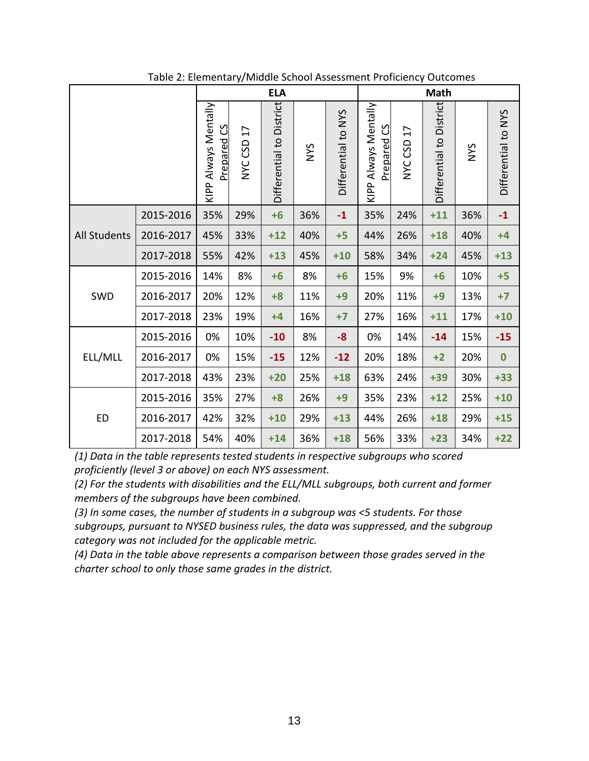|                     |           |                                     |               | <b>ELA</b>               |             |                     |                                            |            | <b>Math</b>              |            |                     |
|---------------------|-----------|-------------------------------------|---------------|--------------------------|-------------|---------------------|--------------------------------------------|------------|--------------------------|------------|---------------------|
|                     |           | KIPP Always Mentally<br>Prepared CS | 17<br>NYC CSD | Differential to District | <b>SAIN</b> | Differential to NYS | KIPP Always Mentally<br><b>Prepared CS</b> | NYC CSD 17 | Differential to District | <b>NYS</b> | Differential to NYS |
|                     | 2015-2016 | 35%                                 | 29%           | $+6$                     | 36%         | $-1$                | 35%                                        | 24%        | $+11$                    | 36%        | $-1$                |
| <b>All Students</b> | 2016-2017 | 45%                                 | 33%           | $+12$                    | 40%         | $+5$                | 44%                                        | 26%        | $+18$                    | 40%        | $+4$                |
|                     | 2017-2018 | 55%                                 | 42%           | $+13$                    | 45%         | $+10$               | 58%                                        | 34%        | $+24$                    | 45%        | $+13$               |
|                     | 2015-2016 | 14%                                 | 8%            | $+6$                     | 8%          | $+6$                | 15%                                        | 9%         | $+6$                     | 10%        | $+5$                |
| SWD                 | 2016-2017 | 20%                                 | 12%           | $+8$                     | 11%         | $+9$                | 20%                                        | 11%        | $+9$                     | 13%        | $+7$                |
|                     | 2017-2018 | 23%                                 | 19%           | $+4$                     | 16%         | $+7$                | 27%                                        | 16%        | $+11$                    | 17%        | $+10$               |
|                     | 2015-2016 | 0%                                  | 10%           | $-10$                    | 8%          | $-8-$               | 0%                                         | 14%        | $-14$                    | 15%        | $-15$               |
| ELL/MLL             | 2016-2017 | 0%                                  | 15%           | $-15$                    | 12%         | $-12$               | 20%                                        | 18%        | $+2$                     | 20%        | $\bf{0}$            |
|                     | 2017-2018 | 43%                                 | 23%           | $+20$                    | 25%         | $+18$               | 63%                                        | 24%        | $+39$                    | 30%        | $+33$               |
|                     | 2015-2016 | 35%                                 | 27%           | $+8$                     | 26%         | $+9$                | 35%                                        | 23%        | $+12$                    | 25%        | $+10$               |
| <b>ED</b>           | 2016-2017 | 42%                                 | 32%           | $+10$                    | 29%         | $+13$               | 44%                                        | 26%        | $+18$                    | 29%        | $+15$               |
|                     | 2017-2018 | 54%                                 | 40%           | $+14$                    | 36%         | $+18$               | 56%                                        | 33%        | $+23$                    | 34%        | $+22$               |

Table 2: Elementary/Middle School Assessment Proficiency Outcomes

*(2) For the students with disabilities and the ELL/MLL subgroups, both current and former members of the subgroups have been combined.*

*(3) In some cases, the number of students in a subgroup was <5 students. For those subgroups, pursuant to NYSED business rules, the data was suppressed, and the subgroup category was not included for the applicable metric.*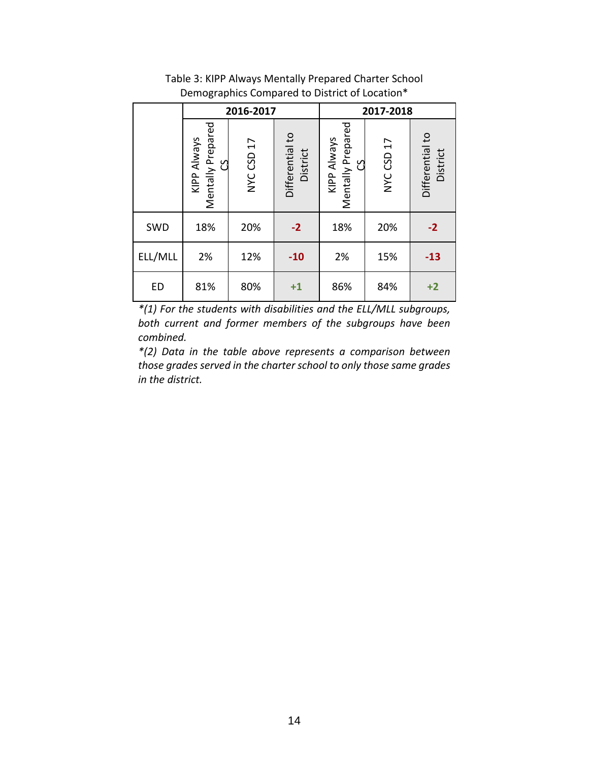|         |                                         | 2016-2017  |                             | 2017-2018                                    |            |                             |  |  |
|---------|-----------------------------------------|------------|-----------------------------|----------------------------------------------|------------|-----------------------------|--|--|
|         | Mentally Prepared<br>KIPP Always<br>ပ္ပ | NYC CSD 17 | Differential to<br>District | Mentally Prepared<br>KIPP Always<br><u>ុ</u> | NYC CSD 17 | Differential to<br>District |  |  |
| SWD     | 18%                                     | 20%        | $-2$                        | 18%                                          | 20%        | $-2$                        |  |  |
| ELL/MLL | 2%                                      | 12%        | $-10$                       | 2%                                           | 15%        | $-13$                       |  |  |
| ED      | 81%                                     | 80%        | $+1$                        | 86%                                          | 84%        | $+2$                        |  |  |

Table 3: KIPP Always Mentally Prepared Charter School Demographics Compared to District of Location\*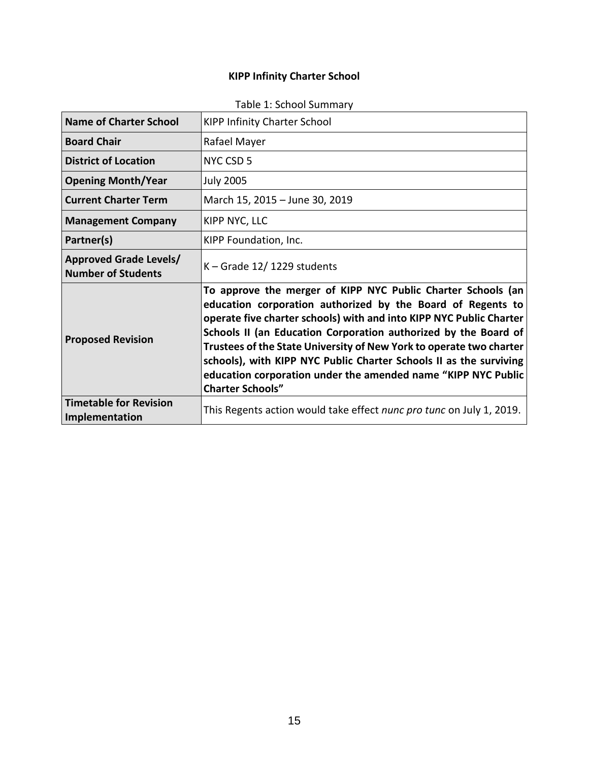# **KIPP Infinity Charter School**

| <b>Name of Charter School</b>                              | <b>KIPP Infinity Charter School</b>                                                                                                                                                                                                                                                                                                                                                                                                                                                                            |
|------------------------------------------------------------|----------------------------------------------------------------------------------------------------------------------------------------------------------------------------------------------------------------------------------------------------------------------------------------------------------------------------------------------------------------------------------------------------------------------------------------------------------------------------------------------------------------|
| <b>Board Chair</b>                                         | Rafael Mayer                                                                                                                                                                                                                                                                                                                                                                                                                                                                                                   |
| <b>District of Location</b>                                | NYC CSD 5                                                                                                                                                                                                                                                                                                                                                                                                                                                                                                      |
| <b>Opening Month/Year</b>                                  | <b>July 2005</b>                                                                                                                                                                                                                                                                                                                                                                                                                                                                                               |
| <b>Current Charter Term</b>                                | March 15, 2015 - June 30, 2019                                                                                                                                                                                                                                                                                                                                                                                                                                                                                 |
| <b>Management Company</b>                                  | KIPP NYC, LLC                                                                                                                                                                                                                                                                                                                                                                                                                                                                                                  |
| Partner(s)                                                 | KIPP Foundation, Inc.                                                                                                                                                                                                                                                                                                                                                                                                                                                                                          |
| <b>Approved Grade Levels/</b><br><b>Number of Students</b> | K - Grade 12/1229 students                                                                                                                                                                                                                                                                                                                                                                                                                                                                                     |
| <b>Proposed Revision</b>                                   | To approve the merger of KIPP NYC Public Charter Schools (an<br>education corporation authorized by the Board of Regents to<br>operate five charter schools) with and into KIPP NYC Public Charter<br>Schools II (an Education Corporation authorized by the Board of<br>Trustees of the State University of New York to operate two charter<br>schools), with KIPP NYC Public Charter Schools II as the surviving<br>education corporation under the amended name "KIPP NYC Public<br><b>Charter Schools"</b> |
| <b>Timetable for Revision</b><br>Implementation            | This Regents action would take effect nunc pro tunc on July 1, 2019.                                                                                                                                                                                                                                                                                                                                                                                                                                           |

## Table 1: School Summary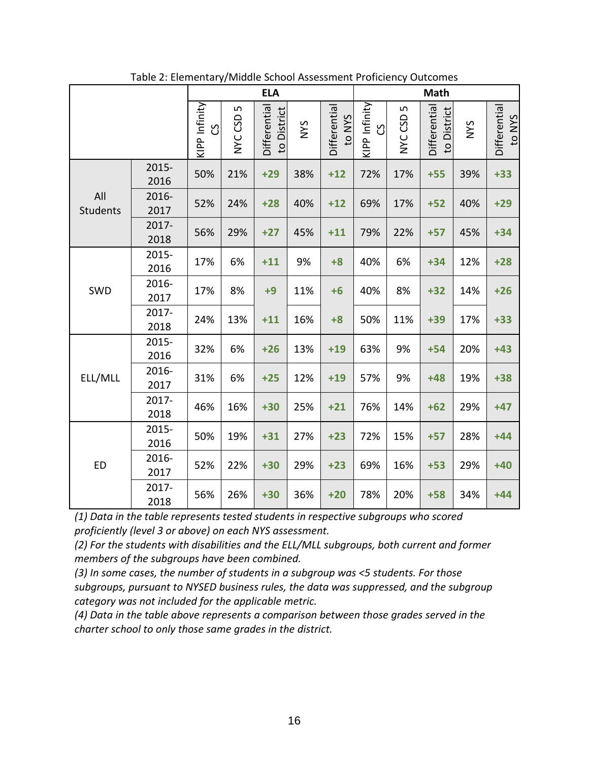|                 |               |                      | $\cdots$      | <b>ELA</b>                  |            |                        | <b>Math</b>               |                         |                             |            |                        |
|-----------------|---------------|----------------------|---------------|-----------------------------|------------|------------------------|---------------------------|-------------------------|-----------------------------|------------|------------------------|
|                 |               | KIPP Infinity<br>ပ္ပ | LN<br>NYC CSD | Differential<br>to District | <b>SAN</b> | Differential<br>to NYS | KIPP Infinity<br><u>ვ</u> | LN<br>GSD<br><b>NNC</b> | Differential<br>to District | <b>SAN</b> | Differential<br>to NYS |
| All<br>Students | 2015-<br>2016 | 50%                  | 21%           | $+29$                       | 38%        | $+12$                  | 72%                       | 17%                     | $+55$                       | 39%        | $+33$                  |
|                 | 2016-<br>2017 | 52%                  | 24%           | $+28$                       | 40%        | $+12$                  | 69%                       | 17%                     | $+52$                       | 40%        | $+29$                  |
|                 | 2017-<br>2018 | 56%                  | 29%           | $+27$                       | 45%        | $+11$                  | 79%                       | 22%                     | $+57$                       | 45%        | $+34$                  |
| SWD             | 2015-<br>2016 | 17%                  | 6%            | $+11$                       | 9%         | $+8$                   | 40%                       | 6%                      | $+34$                       | 12%        | $+28$                  |
|                 | 2016-<br>2017 | 17%                  | 8%            | $+9$                        | 11%        | $+6$                   | 40%                       | 8%                      | $+32$                       | 14%        | $+26$                  |
|                 | 2017-<br>2018 | 24%                  | 13%           | $+11$                       | 16%        | $+8$                   | 50%                       | 11%                     | $+39$                       | 17%        | $+33$                  |
|                 | 2015-<br>2016 | 32%                  | 6%            | $+26$                       | 13%        | $+19$                  | 63%                       | 9%                      | $+54$                       | 20%        | $+43$                  |
| ELL/MLL         | 2016-<br>2017 | 31%                  | 6%            | $+25$                       | 12%        | $+19$                  | 57%                       | 9%                      | $+48$                       | 19%        | $+38$                  |
|                 | 2017-<br>2018 | 46%                  | 16%           | $+30$                       | 25%        | $+21$                  | 76%                       | 14%                     | $+62$                       | 29%        | $+47$                  |
|                 | 2015-<br>2016 | 50%                  | 19%           | $+31$                       | 27%        | $+23$                  | 72%                       | 15%                     | $+57$                       | 28%        | $+44$                  |
| <b>ED</b>       | 2016-<br>2017 | 52%                  | 22%           | $+30$                       | 29%        | $+23$                  | 69%                       | 16%                     | $+53$                       | 29%        | $+40$                  |
|                 | 2017-<br>2018 | 56%                  | 26%           | $+30$                       | 36%        | $+20$                  | 78%                       | 20%                     | $+58$                       | 34%        | $+44$                  |

Table 2: Elementary/Middle School Assessment Proficiency Outcomes

*(2) For the students with disabilities and the ELL/MLL subgroups, both current and former members of the subgroups have been combined.*

*(3) In some cases, the number of students in a subgroup was <5 students. For those subgroups, pursuant to NYSED business rules, the data was suppressed, and the subgroup category was not included for the applicable metric.*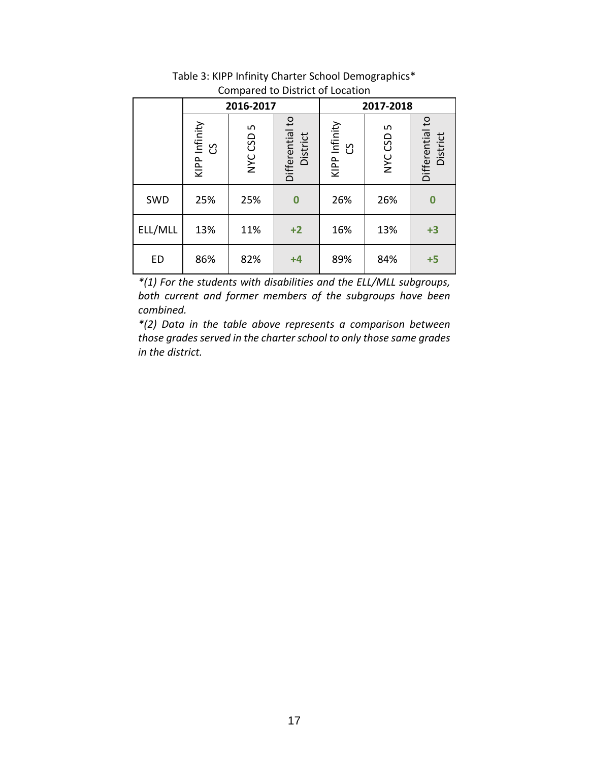|         |                      | 2016-2017    |                             | 2017-2018            |                |                             |  |
|---------|----------------------|--------------|-----------------------------|----------------------|----------------|-----------------------------|--|
|         | KIPP Infinity<br>ပ္ပ | ഗ<br>NYC CSD | Differential to<br>District | KIPP Infinity<br>ပ္ပ | LN.<br>NYC CSD | Differential to<br>District |  |
| SWD     | 25%                  | 25%          | $\bf{0}$                    | 26%                  | 26%            | $\bf{0}$                    |  |
| ELL/MLL | 13%                  | 11%          | $+2$                        | 16%                  | 13%            | $+3$                        |  |
| ED      | 86%                  | 82%          | $+4$                        | 89%                  | 84%            | $+5$                        |  |

Table 3: KIPP Infinity Charter School Demographics\* Compared to District of Location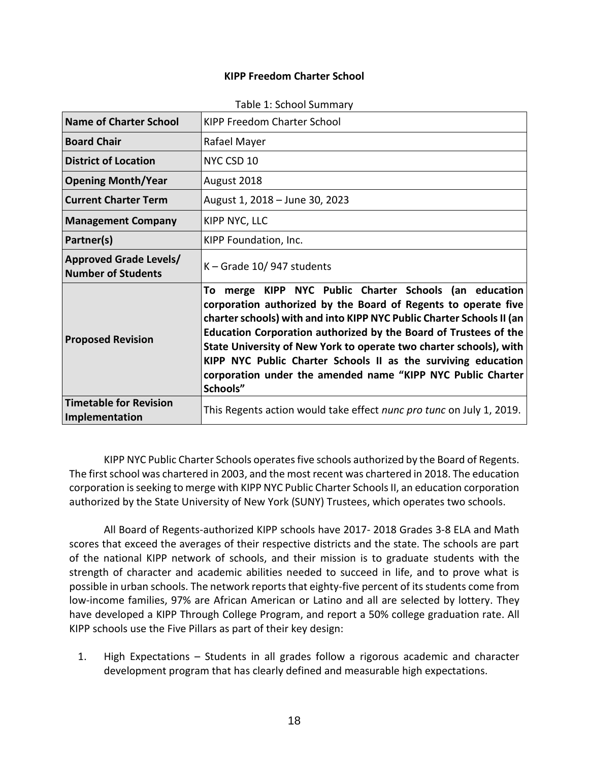#### **KIPP Freedom Charter School**

| <b>Name of Charter School</b>                              | KIPP Freedom Charter School                                                                                                                                                                                                                                                                                                                                                                                                                                                                |  |  |  |  |  |  |
|------------------------------------------------------------|--------------------------------------------------------------------------------------------------------------------------------------------------------------------------------------------------------------------------------------------------------------------------------------------------------------------------------------------------------------------------------------------------------------------------------------------------------------------------------------------|--|--|--|--|--|--|
| <b>Board Chair</b>                                         | Rafael Mayer                                                                                                                                                                                                                                                                                                                                                                                                                                                                               |  |  |  |  |  |  |
| <b>District of Location</b>                                | NYC CSD 10                                                                                                                                                                                                                                                                                                                                                                                                                                                                                 |  |  |  |  |  |  |
| <b>Opening Month/Year</b>                                  | August 2018                                                                                                                                                                                                                                                                                                                                                                                                                                                                                |  |  |  |  |  |  |
| <b>Current Charter Term</b>                                | August 1, 2018 - June 30, 2023                                                                                                                                                                                                                                                                                                                                                                                                                                                             |  |  |  |  |  |  |
| <b>Management Company</b>                                  | KIPP NYC, LLC                                                                                                                                                                                                                                                                                                                                                                                                                                                                              |  |  |  |  |  |  |
| Partner(s)                                                 | KIPP Foundation, Inc.                                                                                                                                                                                                                                                                                                                                                                                                                                                                      |  |  |  |  |  |  |
| <b>Approved Grade Levels/</b><br><b>Number of Students</b> | K - Grade 10/947 students                                                                                                                                                                                                                                                                                                                                                                                                                                                                  |  |  |  |  |  |  |
| <b>Proposed Revision</b>                                   | merge KIPP NYC Public Charter Schools (an education<br>To<br>corporation authorized by the Board of Regents to operate five<br>charter schools) with and into KIPP NYC Public Charter Schools II (an<br>Education Corporation authorized by the Board of Trustees of the<br>State University of New York to operate two charter schools), with<br>KIPP NYC Public Charter Schools II as the surviving education<br>corporation under the amended name "KIPP NYC Public Charter<br>Schools" |  |  |  |  |  |  |
| <b>Timetable for Revision</b><br>Implementation            | This Regents action would take effect nunc pro tunc on July 1, 2019.                                                                                                                                                                                                                                                                                                                                                                                                                       |  |  |  |  |  |  |

|  |  |  | Table 1: School Summary |
|--|--|--|-------------------------|
|--|--|--|-------------------------|

KIPP NYC Public Charter Schools operates five schools authorized by the Board of Regents. The first school was chartered in 2003, and the most recent was chartered in 2018. The education corporation is seeking to merge with KIPP NYC Public Charter Schools II, an education corporation authorized by the State University of New York (SUNY) Trustees, which operates two schools.

All Board of Regents-authorized KIPP schools have 2017- 2018 Grades 3-8 ELA and Math scores that exceed the averages of their respective districts and the state. The schools are part of the national KIPP network of schools, and their mission is to graduate students with the strength of character and academic abilities needed to succeed in life, and to prove what is possible in urban schools. The network reports that eighty-five percent of its students come from low-income families, 97% are African American or Latino and all are selected by lottery. They have developed a KIPP Through College Program, and report a 50% college graduation rate. All KIPP schools use the Five Pillars as part of their key design:

1. High Expectations – Students in all grades follow a rigorous academic and character development program that has clearly defined and measurable high expectations.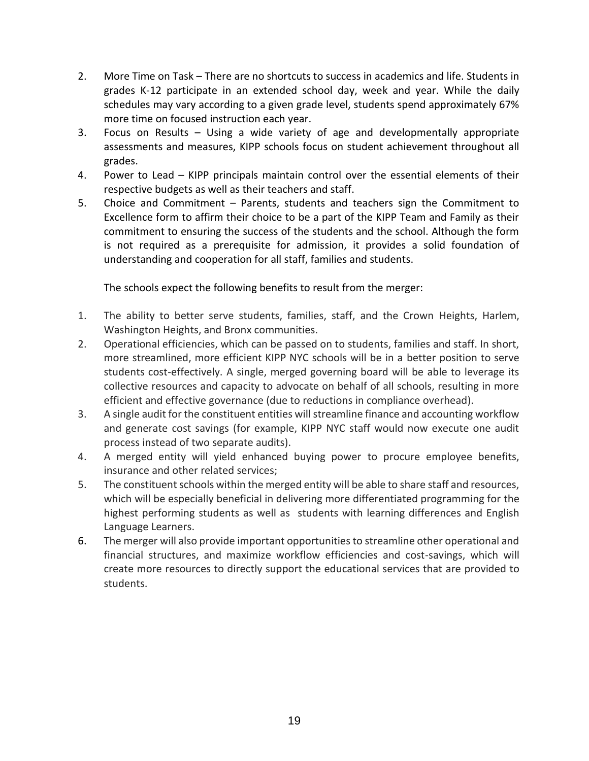- 2. More Time on Task There are no shortcuts to success in academics and life. Students in grades K-12 participate in an extended school day, week and year. While the daily schedules may vary according to a given grade level, students spend approximately 67% more time on focused instruction each year.
- 3. Focus on Results Using a wide variety of age and developmentally appropriate assessments and measures, KIPP schools focus on student achievement throughout all grades.
- 4. Power to Lead KIPP principals maintain control over the essential elements of their respective budgets as well as their teachers and staff.
- 5. Choice and Commitment Parents, students and teachers sign the Commitment to Excellence form to affirm their choice to be a part of the KIPP Team and Family as their commitment to ensuring the success of the students and the school. Although the form is not required as a prerequisite for admission, it provides a solid foundation of understanding and cooperation for all staff, families and students.

The schools expect the following benefits to result from the merger:

- 1. The ability to better serve students, families, staff, and the Crown Heights, Harlem, Washington Heights, and Bronx communities.
- 2. Operational efficiencies, which can be passed on to students, families and staff. In short, more streamlined, more efficient KIPP NYC schools will be in a better position to serve students cost-effectively. A single, merged governing board will be able to leverage its collective resources and capacity to advocate on behalf of all schools, resulting in more efficient and effective governance (due to reductions in compliance overhead).
- 3. A single audit for the constituent entities will streamline finance and accounting workflow and generate cost savings (for example, KIPP NYC staff would now execute one audit process instead of two separate audits).
- 4. A merged entity will yield enhanced buying power to procure employee benefits, insurance and other related services;
- 5. The constituent schools within the merged entity will be able to share staff and resources, which will be especially beneficial in delivering more differentiated programming for the highest performing students as well as students with learning differences and English Language Learners.
- 6. The merger will also provide important opportunities to streamline other operational and financial structures, and maximize workflow efficiencies and cost-savings, which will create more resources to directly support the educational services that are provided to students.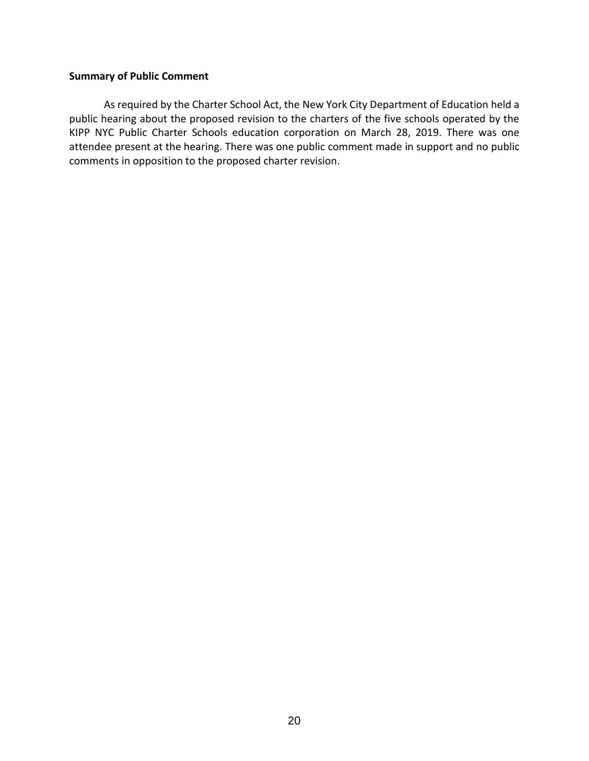#### **Summary of Public Comment**

As required by the Charter School Act, the New York City Department of Education held a public hearing about the proposed revision to the charters of the five schools operated by the KIPP NYC Public Charter Schools education corporation on March 28, 2019. There was one attendee present at the hearing. There was one public comment made in support and no public comments in opposition to the proposed charter revision.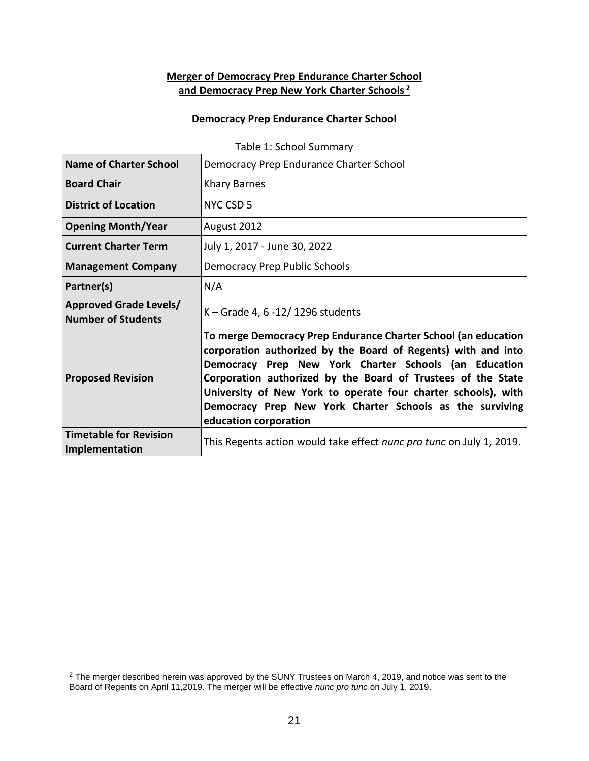## **Merger of Democracy Prep Endurance Charter School and Democracy Prep New York Charter Schools <sup>2</sup>**

#### **Democracy Prep Endurance Charter School**

| <b>Name of Charter School</b>                              | Democracy Prep Endurance Charter School                                                                                                                                                                                                                                                                                                                                                                        |
|------------------------------------------------------------|----------------------------------------------------------------------------------------------------------------------------------------------------------------------------------------------------------------------------------------------------------------------------------------------------------------------------------------------------------------------------------------------------------------|
| <b>Board Chair</b>                                         | <b>Khary Barnes</b>                                                                                                                                                                                                                                                                                                                                                                                            |
| <b>District of Location</b>                                | NYC CSD 5                                                                                                                                                                                                                                                                                                                                                                                                      |
| <b>Opening Month/Year</b>                                  | August 2012                                                                                                                                                                                                                                                                                                                                                                                                    |
| <b>Current Charter Term</b>                                | July 1, 2017 - June 30, 2022                                                                                                                                                                                                                                                                                                                                                                                   |
| <b>Management Company</b>                                  | <b>Democracy Prep Public Schools</b>                                                                                                                                                                                                                                                                                                                                                                           |
| Partner(s)                                                 | N/A                                                                                                                                                                                                                                                                                                                                                                                                            |
| <b>Approved Grade Levels/</b><br><b>Number of Students</b> | K – Grade 4, 6 -12/ 1296 students                                                                                                                                                                                                                                                                                                                                                                              |
| <b>Proposed Revision</b>                                   | To merge Democracy Prep Endurance Charter School (an education<br>corporation authorized by the Board of Regents) with and into<br>Democracy Prep New York Charter Schools (an Education<br>Corporation authorized by the Board of Trustees of the State<br>University of New York to operate four charter schools), with<br>Democracy Prep New York Charter Schools as the surviving<br>education corporation |
| <b>Timetable for Revision</b><br>Implementation            | This Regents action would take effect nunc pro tunc on July 1, 2019.                                                                                                                                                                                                                                                                                                                                           |

Table 1: School Summary

 $\overline{a}$ 

 $^2$  The merger described herein was approved by the SUNY Trustees on March 4, 2019, and notice was sent to the Board of Regents on April 11,2019. The merger will be effective *nunc pro tunc* on July 1, 2019.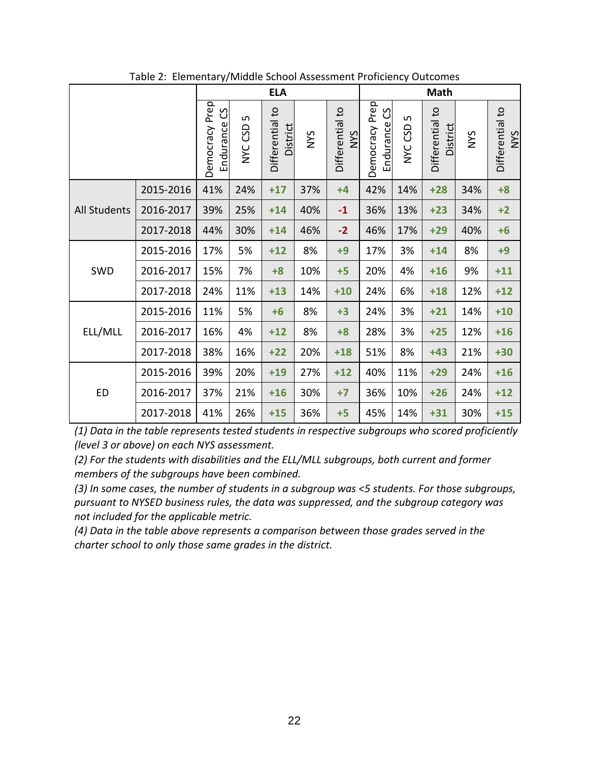|                     |           | ,,                             |               | <b>ELA</b>                         |            |                               | <b>Math</b>                    |               |                             |            |                        |
|---------------------|-----------|--------------------------------|---------------|------------------------------------|------------|-------------------------------|--------------------------------|---------------|-----------------------------|------------|------------------------|
|                     |           | Democracy Prep<br>Endurance CS | LN<br>NYC CSD | Differential to<br><b>District</b> | <b>NYS</b> | Differential to<br><b>SAN</b> | Democracy Prep<br>Endurance CS | LO<br>NYC CSD | Differential to<br>District | <b>NYS</b> | Differential to<br>NYS |
|                     | 2015-2016 | 41%                            | 24%           | $+17$                              | 37%        | $+4$                          | 42%                            | 14%           | $+28$                       | 34%        | $+8$                   |
| <b>All Students</b> | 2016-2017 | 39%                            | 25%           | $+14$                              | 40%        | $-1$                          | 36%                            | 13%           | $+23$                       | 34%        | $+2$                   |
|                     | 2017-2018 | 44%                            | 30%           | $+14$                              | 46%        | $-2$                          | 46%                            | 17%           | $+29$                       | 40%        | $+6$                   |
| SWD                 | 2015-2016 | 17%                            | 5%            | $+12$                              | 8%         | $+9$                          | 17%                            | 3%            | $+14$                       | 8%         | $+9$                   |
|                     | 2016-2017 | 15%                            | 7%            | $+8$                               | 10%        | $+5$                          | 20%                            | 4%            | $+16$                       | 9%         | $+11$                  |
|                     | 2017-2018 | 24%                            | 11%           | $+13$                              | 14%        | $+10$                         | 24%                            | 6%            | $+18$                       | 12%        | $+12$                  |
| ELL/MLL             | 2015-2016 | 11%                            | 5%            | $+6$                               | 8%         | $+3$                          | 24%                            | 3%            | $+21$                       | 14%        | $+10$                  |
|                     | 2016-2017 | 16%                            | 4%            | $+12$                              | 8%         | $+8$                          | 28%                            | 3%            | $+25$                       | 12%        | $+16$                  |
|                     | 2017-2018 | 38%                            | 16%           | $+22$                              | 20%        | $+18$                         | 51%                            | 8%            | $+43$                       | 21%        | $+30$                  |
| <b>ED</b>           | 2015-2016 | 39%                            | 20%           | $+19$                              | 27%        | $+12$                         | 40%                            | 11%           | $+29$                       | 24%        | $+16$                  |
|                     | 2016-2017 | 37%                            | 21%           | $+16$                              | 30%        | $+7$                          | 36%                            | 10%           | $+26$                       | 24%        | $+12$                  |
|                     | 2017-2018 | 41%                            | 26%           | $+15$                              | 36%        | $+5$                          | 45%                            | 14%           | $+31$                       | 30%        | $+15$                  |

Table 2: Elementary/Middle School Assessment Proficiency Outcomes

*(2) For the students with disabilities and the ELL/MLL subgroups, both current and former members of the subgroups have been combined.*

*(3) In some cases, the number of students in a subgroup was <5 students. For those subgroups, pursuant to NYSED business rules, the data was suppressed, and the subgroup category was not included for the applicable metric.*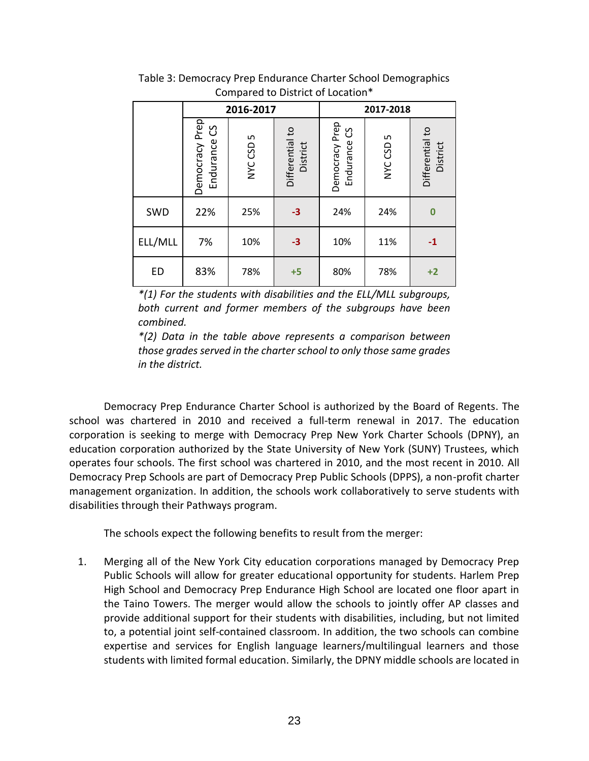|         |                                   | 2016-2017 |                             |                                | 2017-2018    |                             |  |  |
|---------|-----------------------------------|-----------|-----------------------------|--------------------------------|--------------|-----------------------------|--|--|
|         | Democracy Prep<br>ပိ<br>Endurance | NYC CSD 5 | Differential to<br>District | Democracy Prep<br>Endurance CS | L<br>NYC CSD | Differential to<br>District |  |  |
| SWD     | 22%                               | 25%       | $-3$                        | 24%                            | 24%          | $\bf{0}$                    |  |  |
| ELL/MLL | 7%                                | 10%       | $-3$                        | 10%                            | 11%          | $-1$                        |  |  |
| ED      | 83%                               | 78%       | $+5$                        | 80%                            | 78%          | $+2$                        |  |  |

Table 3: Democracy Prep Endurance Charter School Demographics Compared to District of Location\*

*\*(2) Data in the table above represents a comparison between those grades served in the charter school to only those same grades in the district.*

Democracy Prep Endurance Charter School is authorized by the Board of Regents. The school was chartered in 2010 and received a full-term renewal in 2017. The education corporation is seeking to merge with Democracy Prep New York Charter Schools (DPNY), an education corporation authorized by the State University of New York (SUNY) Trustees, which operates four schools. The first school was chartered in 2010, and the most recent in 2010. All Democracy Prep Schools are part of Democracy Prep Public Schools (DPPS), a non-profit charter management organization. In addition, the schools work collaboratively to serve students with disabilities through their Pathways program.

The schools expect the following benefits to result from the merger:

1. Merging all of the New York City education corporations managed by Democracy Prep Public Schools will allow for greater educational opportunity for students. Harlem Prep High School and Democracy Prep Endurance High School are located one floor apart in the Taino Towers. The merger would allow the schools to jointly offer AP classes and provide additional support for their students with disabilities, including, but not limited to, a potential joint self-contained classroom. In addition, the two schools can combine expertise and services for English language learners/multilingual learners and those students with limited formal education. Similarly, the DPNY middle schools are located in